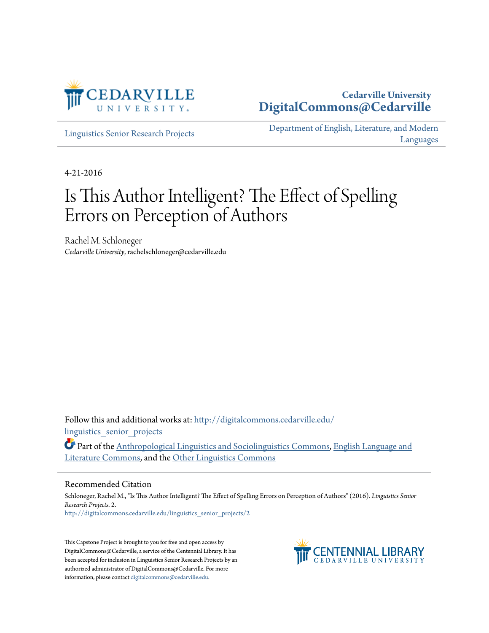

### **Cedarville University [DigitalCommons@Cedarville](http://digitalcommons.cedarville.edu?utm_source=digitalcommons.cedarville.edu%2Flinguistics_senior_projects%2F2&utm_medium=PDF&utm_campaign=PDFCoverPages)**

[Linguistics Senior Research Projects](http://digitalcommons.cedarville.edu/linguistics_senior_projects?utm_source=digitalcommons.cedarville.edu%2Flinguistics_senior_projects%2F2&utm_medium=PDF&utm_campaign=PDFCoverPages)

[Department of English, Literature, and Modern](http://digitalcommons.cedarville.edu/english_literature_modern_languages?utm_source=digitalcommons.cedarville.edu%2Flinguistics_senior_projects%2F2&utm_medium=PDF&utm_campaign=PDFCoverPages) [Languages](http://digitalcommons.cedarville.edu/english_literature_modern_languages?utm_source=digitalcommons.cedarville.edu%2Flinguistics_senior_projects%2F2&utm_medium=PDF&utm_campaign=PDFCoverPages)

4-21-2016

# Is This Author Intelligent? The Effect of Spelling Errors on Perception of Authors

Rachel M. Schloneger *Cedarville University*, rachelschloneger@cedarville.edu

Follow this and additional works at: [http://digitalcommons.cedarville.edu/](http://digitalcommons.cedarville.edu/linguistics_senior_projects?utm_source=digitalcommons.cedarville.edu%2Flinguistics_senior_projects%2F2&utm_medium=PDF&utm_campaign=PDFCoverPages) linguistics senior projects

Part of the [Anthropological Linguistics and Sociolinguistics Commons,](http://network.bepress.com/hgg/discipline/372?utm_source=digitalcommons.cedarville.edu%2Flinguistics_senior_projects%2F2&utm_medium=PDF&utm_campaign=PDFCoverPages) [English Language and](http://network.bepress.com/hgg/discipline/455?utm_source=digitalcommons.cedarville.edu%2Flinguistics_senior_projects%2F2&utm_medium=PDF&utm_campaign=PDFCoverPages) [Literature Commons,](http://network.bepress.com/hgg/discipline/455?utm_source=digitalcommons.cedarville.edu%2Flinguistics_senior_projects%2F2&utm_medium=PDF&utm_campaign=PDFCoverPages) and the [Other Linguistics Commons](http://network.bepress.com/hgg/discipline/385?utm_source=digitalcommons.cedarville.edu%2Flinguistics_senior_projects%2F2&utm_medium=PDF&utm_campaign=PDFCoverPages)

#### Recommended Citation

Schloneger, Rachel M., "Is This Author Intelligent? The Effect of Spelling Errors on Perception of Authors" (2016). *Linguistics Senior Research Projects*. 2. [http://digitalcommons.cedarville.edu/linguistics\\_senior\\_projects/2](http://digitalcommons.cedarville.edu/linguistics_senior_projects/2?utm_source=digitalcommons.cedarville.edu%2Flinguistics_senior_projects%2F2&utm_medium=PDF&utm_campaign=PDFCoverPages)

This Capstone Project is brought to you for free and open access by DigitalCommons@Cedarville, a service of the Centennial Library. It has been accepted for inclusion in Linguistics Senior Research Projects by an authorized administrator of DigitalCommons@Cedarville. For more information, please contact [digitalcommons@cedarville.edu.](mailto:digitalcommons@cedarville.edu)

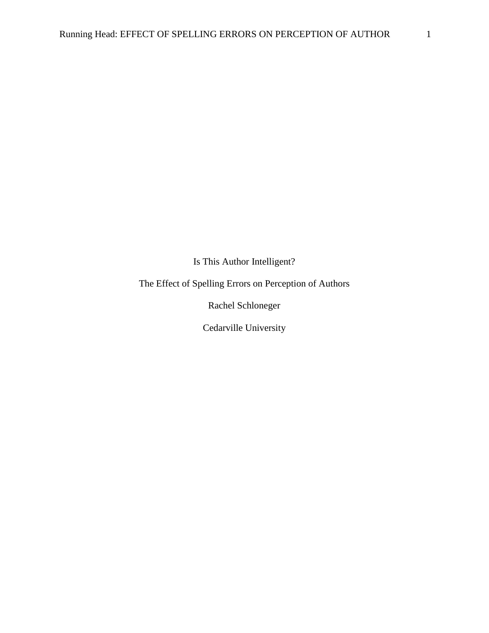Is This Author Intelligent?

The Effect of Spelling Errors on Perception of Authors

Rachel Schloneger

Cedarville University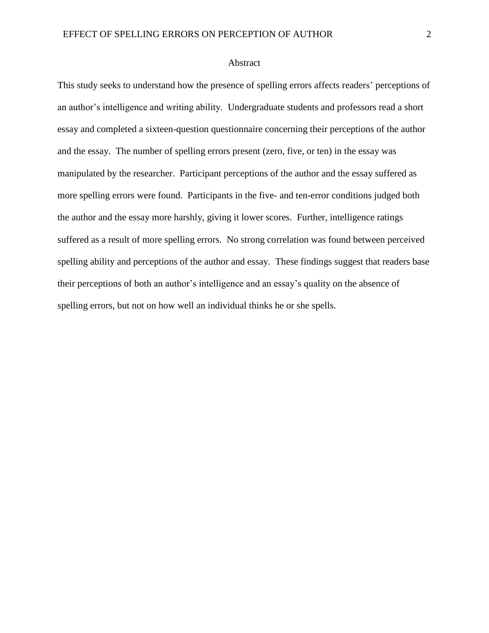#### Abstract

This study seeks to understand how the presence of spelling errors affects readers' perceptions of an author's intelligence and writing ability. Undergraduate students and professors read a short essay and completed a sixteen-question questionnaire concerning their perceptions of the author and the essay. The number of spelling errors present (zero, five, or ten) in the essay was manipulated by the researcher. Participant perceptions of the author and the essay suffered as more spelling errors were found. Participants in the five- and ten-error conditions judged both the author and the essay more harshly, giving it lower scores. Further, intelligence ratings suffered as a result of more spelling errors. No strong correlation was found between perceived spelling ability and perceptions of the author and essay. These findings suggest that readers base their perceptions of both an author's intelligence and an essay's quality on the absence of spelling errors, but not on how well an individual thinks he or she spells.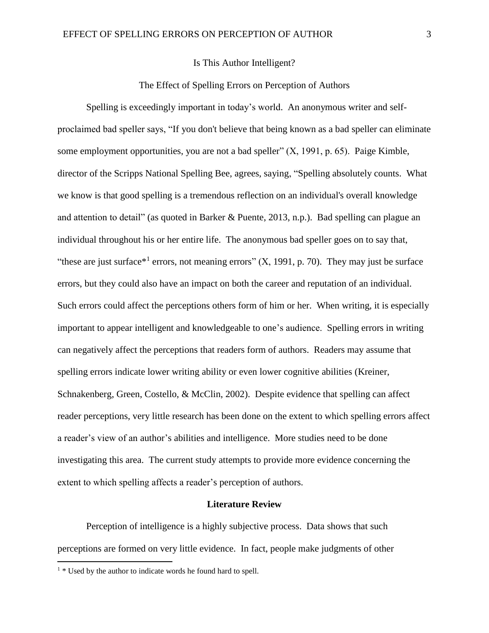### Is This Author Intelligent?

### The Effect of Spelling Errors on Perception of Authors

Spelling is exceedingly important in today's world. An anonymous writer and selfproclaimed bad speller says, "If you don't believe that being known as a bad speller can eliminate some employment opportunities, you are not a bad speller" (X, 1991, p. 65). Paige Kimble, director of the Scripps National Spelling Bee, agrees, saying, "Spelling absolutely counts. What we know is that good spelling is a tremendous reflection on an individual's overall knowledge and attention to detail" (as quoted in Barker & Puente, 2013, n.p.). Bad spelling can plague an individual throughout his or her entire life. The anonymous bad speller goes on to say that, "these are just surface<sup>\*1</sup> errors, not meaning errors"  $(X, 1991, p. 70)$ . They may just be surface errors, but they could also have an impact on both the career and reputation of an individual. Such errors could affect the perceptions others form of him or her. When writing, it is especially important to appear intelligent and knowledgeable to one's audience. Spelling errors in writing can negatively affect the perceptions that readers form of authors. Readers may assume that spelling errors indicate lower writing ability or even lower cognitive abilities (Kreiner, Schnakenberg, Green, Costello, & McClin, 2002). Despite evidence that spelling can affect reader perceptions, very little research has been done on the extent to which spelling errors affect a reader's view of an author's abilities and intelligence. More studies need to be done investigating this area. The current study attempts to provide more evidence concerning the extent to which spelling affects a reader's perception of authors.

#### **Literature Review**

Perception of intelligence is a highly subjective process. Data shows that such perceptions are formed on very little evidence. In fact, people make judgments of other

 $\overline{a}$ 

 $1 *$  Used by the author to indicate words he found hard to spell.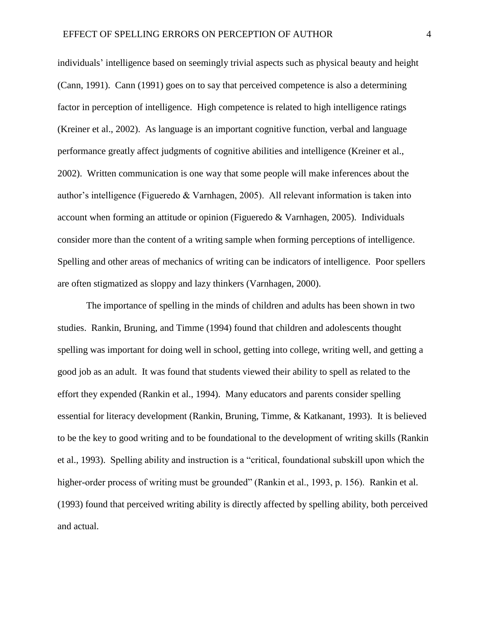individuals' intelligence based on seemingly trivial aspects such as physical beauty and height (Cann, 1991). Cann (1991) goes on to say that perceived competence is also a determining factor in perception of intelligence. High competence is related to high intelligence ratings (Kreiner et al., 2002). As language is an important cognitive function, verbal and language performance greatly affect judgments of cognitive abilities and intelligence (Kreiner et al., 2002). Written communication is one way that some people will make inferences about the author's intelligence (Figueredo & Varnhagen, 2005). All relevant information is taken into account when forming an attitude or opinion (Figueredo & Varnhagen, 2005). Individuals consider more than the content of a writing sample when forming perceptions of intelligence. Spelling and other areas of mechanics of writing can be indicators of intelligence. Poor spellers are often stigmatized as sloppy and lazy thinkers (Varnhagen, 2000).

The importance of spelling in the minds of children and adults has been shown in two studies. Rankin, Bruning, and Timme (1994) found that children and adolescents thought spelling was important for doing well in school, getting into college, writing well, and getting a good job as an adult. It was found that students viewed their ability to spell as related to the effort they expended (Rankin et al., 1994). Many educators and parents consider spelling essential for literacy development (Rankin, Bruning, Timme, & Katkanant, 1993). It is believed to be the key to good writing and to be foundational to the development of writing skills (Rankin et al., 1993). Spelling ability and instruction is a "critical, foundational subskill upon which the higher-order process of writing must be grounded" (Rankin et al., 1993, p. 156). Rankin et al. (1993) found that perceived writing ability is directly affected by spelling ability, both perceived and actual.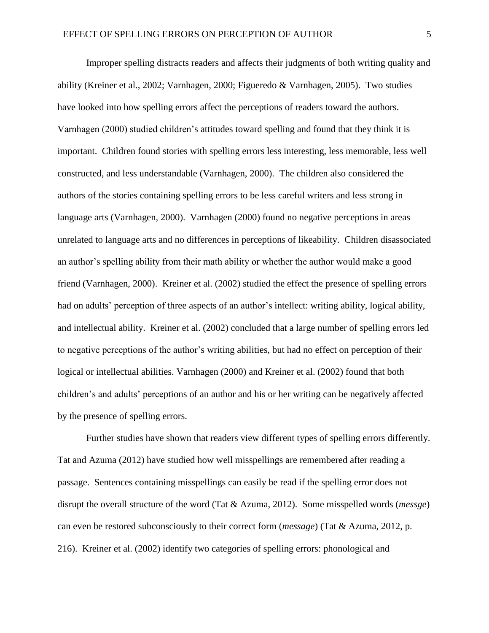Improper spelling distracts readers and affects their judgments of both writing quality and ability (Kreiner et al., 2002; Varnhagen, 2000; Figueredo & Varnhagen, 2005). Two studies have looked into how spelling errors affect the perceptions of readers toward the authors. Varnhagen (2000) studied children's attitudes toward spelling and found that they think it is important. Children found stories with spelling errors less interesting, less memorable, less well constructed, and less understandable (Varnhagen, 2000). The children also considered the authors of the stories containing spelling errors to be less careful writers and less strong in language arts (Varnhagen, 2000). Varnhagen (2000) found no negative perceptions in areas unrelated to language arts and no differences in perceptions of likeability. Children disassociated an author's spelling ability from their math ability or whether the author would make a good friend (Varnhagen, 2000). Kreiner et al. (2002) studied the effect the presence of spelling errors had on adults' perception of three aspects of an author's intellect: writing ability, logical ability, and intellectual ability. Kreiner et al. (2002) concluded that a large number of spelling errors led to negative perceptions of the author's writing abilities, but had no effect on perception of their logical or intellectual abilities. Varnhagen (2000) and Kreiner et al. (2002) found that both children's and adults' perceptions of an author and his or her writing can be negatively affected by the presence of spelling errors.

Further studies have shown that readers view different types of spelling errors differently. Tat and Azuma (2012) have studied how well misspellings are remembered after reading a passage. Sentences containing misspellings can easily be read if the spelling error does not disrupt the overall structure of the word (Tat & Azuma, 2012). Some misspelled words (*messge*) can even be restored subconsciously to their correct form (*message*) (Tat & Azuma, 2012, p. 216). Kreiner et al. (2002) identify two categories of spelling errors: phonological and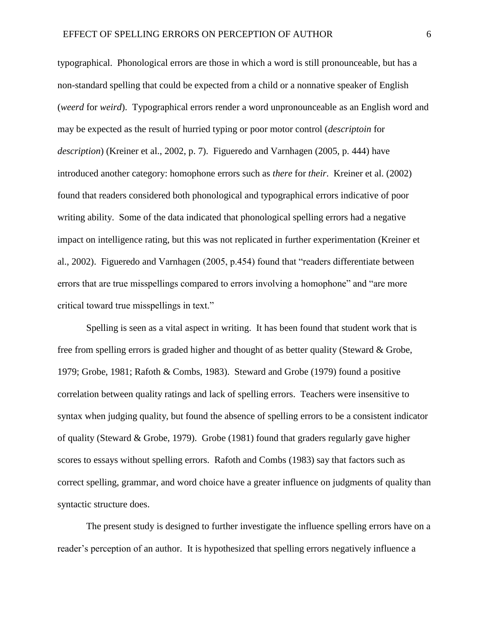typographical. Phonological errors are those in which a word is still pronounceable, but has a non-standard spelling that could be expected from a child or a nonnative speaker of English (*weerd* for *weird*). Typographical errors render a word unpronounceable as an English word and may be expected as the result of hurried typing or poor motor control (*descriptoin* for *description*) (Kreiner et al., 2002, p. 7). Figueredo and Varnhagen (2005, p. 444) have introduced another category: homophone errors such as *there* for *their*. Kreiner et al. (2002) found that readers considered both phonological and typographical errors indicative of poor writing ability. Some of the data indicated that phonological spelling errors had a negative impact on intelligence rating, but this was not replicated in further experimentation (Kreiner et al., 2002). Figueredo and Varnhagen (2005, p.454) found that "readers differentiate between errors that are true misspellings compared to errors involving a homophone" and "are more critical toward true misspellings in text."

Spelling is seen as a vital aspect in writing. It has been found that student work that is free from spelling errors is graded higher and thought of as better quality (Steward & Grobe, 1979; Grobe, 1981; Rafoth & Combs, 1983). Steward and Grobe (1979) found a positive correlation between quality ratings and lack of spelling errors. Teachers were insensitive to syntax when judging quality, but found the absence of spelling errors to be a consistent indicator of quality (Steward & Grobe, 1979). Grobe (1981) found that graders regularly gave higher scores to essays without spelling errors. Rafoth and Combs (1983) say that factors such as correct spelling, grammar, and word choice have a greater influence on judgments of quality than syntactic structure does.

The present study is designed to further investigate the influence spelling errors have on a reader's perception of an author. It is hypothesized that spelling errors negatively influence a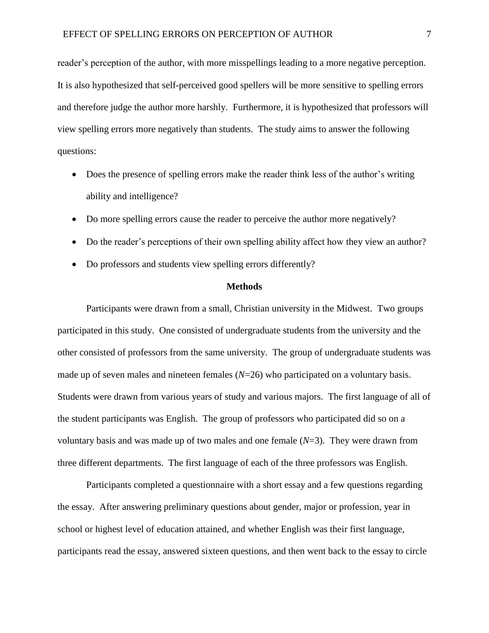reader's perception of the author, with more misspellings leading to a more negative perception. It is also hypothesized that self-perceived good spellers will be more sensitive to spelling errors and therefore judge the author more harshly. Furthermore, it is hypothesized that professors will view spelling errors more negatively than students. The study aims to answer the following questions:

- Does the presence of spelling errors make the reader think less of the author's writing ability and intelligence?
- Do more spelling errors cause the reader to perceive the author more negatively?
- Do the reader's perceptions of their own spelling ability affect how they view an author?
- Do professors and students view spelling errors differently?

#### **Methods**

Participants were drawn from a small, Christian university in the Midwest. Two groups participated in this study. One consisted of undergraduate students from the university and the other consisted of professors from the same university. The group of undergraduate students was made up of seven males and nineteen females (*N*=26) who participated on a voluntary basis. Students were drawn from various years of study and various majors. The first language of all of the student participants was English. The group of professors who participated did so on a voluntary basis and was made up of two males and one female (*N*=3). They were drawn from three different departments. The first language of each of the three professors was English.

Participants completed a questionnaire with a short essay and a few questions regarding the essay. After answering preliminary questions about gender, major or profession, year in school or highest level of education attained, and whether English was their first language, participants read the essay, answered sixteen questions, and then went back to the essay to circle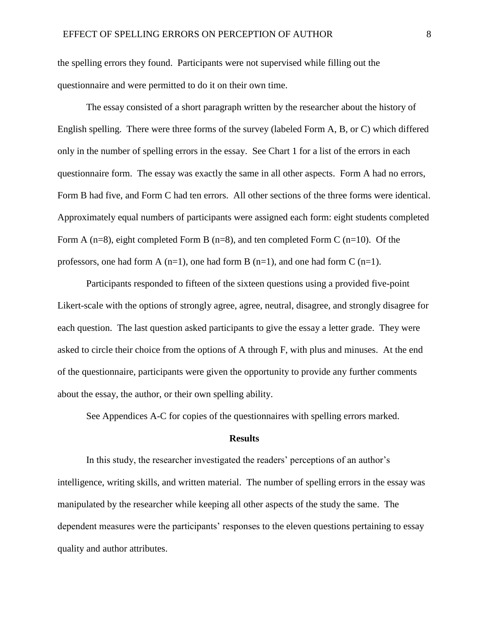the spelling errors they found. Participants were not supervised while filling out the questionnaire and were permitted to do it on their own time.

The essay consisted of a short paragraph written by the researcher about the history of English spelling. There were three forms of the survey (labeled Form A, B, or C) which differed only in the number of spelling errors in the essay. See Chart 1 for a list of the errors in each questionnaire form. The essay was exactly the same in all other aspects. Form A had no errors, Form B had five, and Form C had ten errors. All other sections of the three forms were identical. Approximately equal numbers of participants were assigned each form: eight students completed Form A  $(n=8)$ , eight completed Form B  $(n=8)$ , and ten completed Form C  $(n=10)$ . Of the professors, one had form A  $(n=1)$ , one had form B  $(n=1)$ , and one had form C  $(n=1)$ .

Participants responded to fifteen of the sixteen questions using a provided five-point Likert-scale with the options of strongly agree, agree, neutral, disagree, and strongly disagree for each question. The last question asked participants to give the essay a letter grade. They were asked to circle their choice from the options of A through F, with plus and minuses. At the end of the questionnaire, participants were given the opportunity to provide any further comments about the essay, the author, or their own spelling ability.

See Appendices A-C for copies of the questionnaires with spelling errors marked.

#### **Results**

In this study, the researcher investigated the readers' perceptions of an author's intelligence, writing skills, and written material. The number of spelling errors in the essay was manipulated by the researcher while keeping all other aspects of the study the same. The dependent measures were the participants' responses to the eleven questions pertaining to essay quality and author attributes.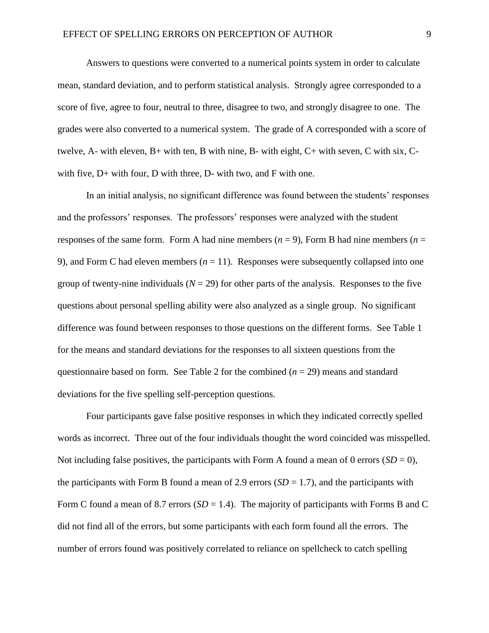Answers to questions were converted to a numerical points system in order to calculate mean, standard deviation, and to perform statistical analysis. Strongly agree corresponded to a score of five, agree to four, neutral to three, disagree to two, and strongly disagree to one. The grades were also converted to a numerical system. The grade of A corresponded with a score of twelve, A- with eleven, B+ with ten, B with nine, B- with eight, C+ with seven, C with six, Cwith five,  $D+$  with four,  $D$  with three,  $D-$  with two, and  $F$  with one.

In an initial analysis, no significant difference was found between the students' responses and the professors' responses. The professors' responses were analyzed with the student responses of the same form. Form A had nine members ( $n = 9$ ), Form B had nine members ( $n =$ 9), and Form C had eleven members  $(n = 11)$ . Responses were subsequently collapsed into one group of twenty-nine individuals ( $N = 29$ ) for other parts of the analysis. Responses to the five questions about personal spelling ability were also analyzed as a single group. No significant difference was found between responses to those questions on the different forms. See Table 1 for the means and standard deviations for the responses to all sixteen questions from the questionnaire based on form. See Table 2 for the combined  $(n = 29)$  means and standard deviations for the five spelling self-perception questions.

Four participants gave false positive responses in which they indicated correctly spelled words as incorrect. Three out of the four individuals thought the word coincided was misspelled. Not including false positives, the participants with Form A found a mean of 0 errors  $(SD = 0)$ , the participants with Form B found a mean of 2.9 errors (*SD* = 1.7), and the participants with Form C found a mean of 8.7 errors (*SD* = 1.4). The majority of participants with Forms B and C did not find all of the errors, but some participants with each form found all the errors. The number of errors found was positively correlated to reliance on spellcheck to catch spelling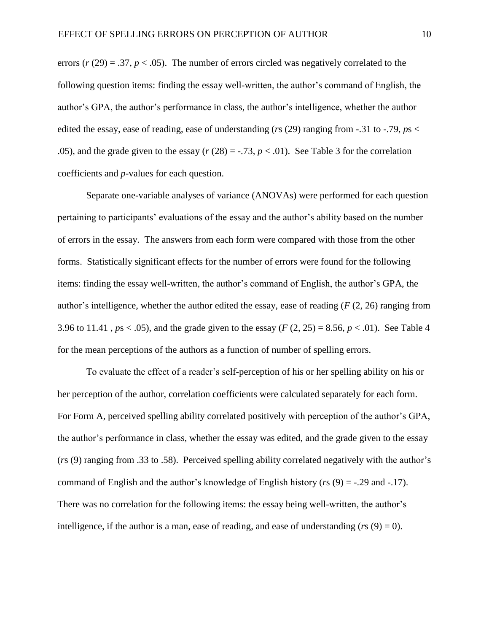errors  $(r (29) = .37, p < .05)$ . The number of errors circled was negatively correlated to the following question items: finding the essay well-written, the author's command of English, the author's GPA, the author's performance in class, the author's intelligence, whether the author edited the essay, ease of reading, ease of understanding (*r*s (29) ranging from -.31 to -.79, *p*s < .05), and the grade given to the essay  $(r (28) = -0.73, p < 0.01)$ . See Table 3 for the correlation coefficients and *p*-values for each question.

Separate one-variable analyses of variance (ANOVAs) were performed for each question pertaining to participants' evaluations of the essay and the author's ability based on the number of errors in the essay. The answers from each form were compared with those from the other forms. Statistically significant effects for the number of errors were found for the following items: finding the essay well-written, the author's command of English, the author's GPA, the author's intelligence, whether the author edited the essay, ease of reading (*F* (2, 26) ranging from 3.96 to 11.41,  $ps < .05$ ), and the grade given to the essay ( $F(2, 25) = 8.56$ ,  $p < .01$ ). See Table 4 for the mean perceptions of the authors as a function of number of spelling errors.

To evaluate the effect of a reader's self-perception of his or her spelling ability on his or her perception of the author, correlation coefficients were calculated separately for each form. For Form A, perceived spelling ability correlated positively with perception of the author's GPA, the author's performance in class, whether the essay was edited, and the grade given to the essay (*r*s (9) ranging from .33 to .58). Perceived spelling ability correlated negatively with the author's command of English and the author's knowledge of English history (*r*s (9) = -.29 and -.17). There was no correlation for the following items: the essay being well-written, the author's intelligence, if the author is a man, ease of reading, and ease of understanding  $(rs(9) = 0)$ .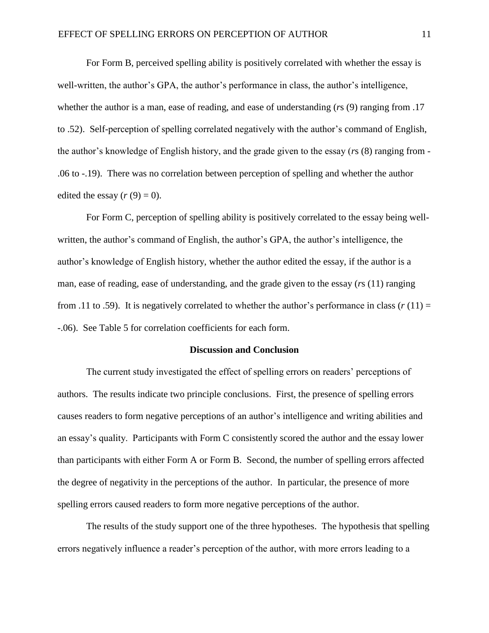For Form B, perceived spelling ability is positively correlated with whether the essay is well-written, the author's GPA, the author's performance in class, the author's intelligence, whether the author is a man, ease of reading, and ease of understanding (*r*s (9) ranging from .17 to .52). Self-perception of spelling correlated negatively with the author's command of English, the author's knowledge of English history, and the grade given to the essay (*r*s (8) ranging from - .06 to -.19). There was no correlation between perception of spelling and whether the author edited the essay  $(r(9) = 0)$ .

For Form C, perception of spelling ability is positively correlated to the essay being wellwritten, the author's command of English, the author's GPA, the author's intelligence, the author's knowledge of English history, whether the author edited the essay, if the author is a man, ease of reading, ease of understanding, and the grade given to the essay (*r*s (11) ranging from .11 to .59). It is negatively correlated to whether the author's performance in class  $(r(11) =$ -.06). See Table 5 for correlation coefficients for each form.

### **Discussion and Conclusion**

The current study investigated the effect of spelling errors on readers' perceptions of authors. The results indicate two principle conclusions. First, the presence of spelling errors causes readers to form negative perceptions of an author's intelligence and writing abilities and an essay's quality. Participants with Form C consistently scored the author and the essay lower than participants with either Form A or Form B. Second, the number of spelling errors affected the degree of negativity in the perceptions of the author. In particular, the presence of more spelling errors caused readers to form more negative perceptions of the author.

The results of the study support one of the three hypotheses. The hypothesis that spelling errors negatively influence a reader's perception of the author, with more errors leading to a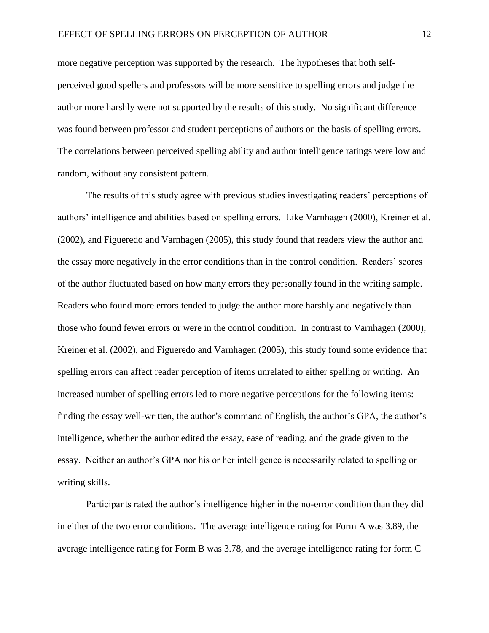more negative perception was supported by the research. The hypotheses that both selfperceived good spellers and professors will be more sensitive to spelling errors and judge the author more harshly were not supported by the results of this study. No significant difference was found between professor and student perceptions of authors on the basis of spelling errors. The correlations between perceived spelling ability and author intelligence ratings were low and random, without any consistent pattern.

The results of this study agree with previous studies investigating readers' perceptions of authors' intelligence and abilities based on spelling errors. Like Varnhagen (2000), Kreiner et al. (2002), and Figueredo and Varnhagen (2005), this study found that readers view the author and the essay more negatively in the error conditions than in the control condition. Readers' scores of the author fluctuated based on how many errors they personally found in the writing sample. Readers who found more errors tended to judge the author more harshly and negatively than those who found fewer errors or were in the control condition. In contrast to Varnhagen (2000), Kreiner et al. (2002), and Figueredo and Varnhagen (2005), this study found some evidence that spelling errors can affect reader perception of items unrelated to either spelling or writing. An increased number of spelling errors led to more negative perceptions for the following items: finding the essay well-written, the author's command of English, the author's GPA, the author's intelligence, whether the author edited the essay, ease of reading, and the grade given to the essay. Neither an author's GPA nor his or her intelligence is necessarily related to spelling or writing skills.

Participants rated the author's intelligence higher in the no-error condition than they did in either of the two error conditions. The average intelligence rating for Form A was 3.89, the average intelligence rating for Form B was 3.78, and the average intelligence rating for form C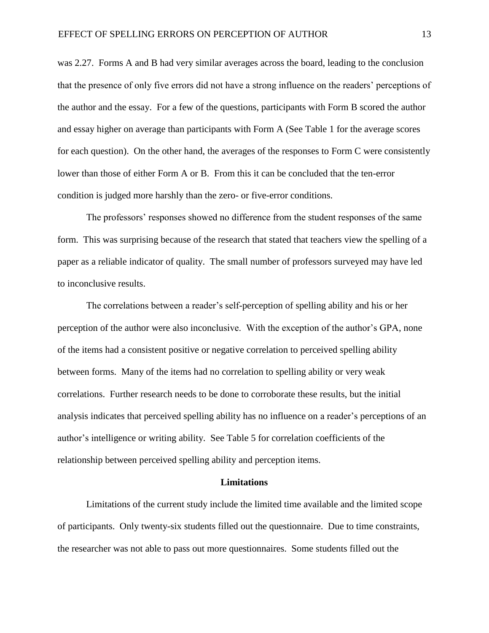was 2.27. Forms A and B had very similar averages across the board, leading to the conclusion that the presence of only five errors did not have a strong influence on the readers' perceptions of the author and the essay. For a few of the questions, participants with Form B scored the author and essay higher on average than participants with Form A (See Table 1 for the average scores for each question). On the other hand, the averages of the responses to Form C were consistently lower than those of either Form A or B. From this it can be concluded that the ten-error condition is judged more harshly than the zero- or five-error conditions.

The professors' responses showed no difference from the student responses of the same form. This was surprising because of the research that stated that teachers view the spelling of a paper as a reliable indicator of quality. The small number of professors surveyed may have led to inconclusive results.

The correlations between a reader's self-perception of spelling ability and his or her perception of the author were also inconclusive. With the exception of the author's GPA, none of the items had a consistent positive or negative correlation to perceived spelling ability between forms. Many of the items had no correlation to spelling ability or very weak correlations. Further research needs to be done to corroborate these results, but the initial analysis indicates that perceived spelling ability has no influence on a reader's perceptions of an author's intelligence or writing ability. See Table 5 for correlation coefficients of the relationship between perceived spelling ability and perception items.

#### **Limitations**

Limitations of the current study include the limited time available and the limited scope of participants. Only twenty-six students filled out the questionnaire. Due to time constraints, the researcher was not able to pass out more questionnaires. Some students filled out the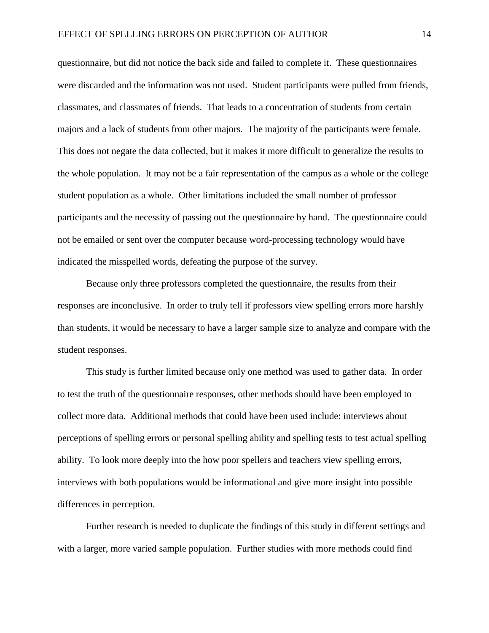questionnaire, but did not notice the back side and failed to complete it. These questionnaires were discarded and the information was not used. Student participants were pulled from friends, classmates, and classmates of friends. That leads to a concentration of students from certain majors and a lack of students from other majors. The majority of the participants were female. This does not negate the data collected, but it makes it more difficult to generalize the results to the whole population. It may not be a fair representation of the campus as a whole or the college student population as a whole. Other limitations included the small number of professor participants and the necessity of passing out the questionnaire by hand. The questionnaire could not be emailed or sent over the computer because word-processing technology would have indicated the misspelled words, defeating the purpose of the survey.

Because only three professors completed the questionnaire, the results from their responses are inconclusive. In order to truly tell if professors view spelling errors more harshly than students, it would be necessary to have a larger sample size to analyze and compare with the student responses.

This study is further limited because only one method was used to gather data. In order to test the truth of the questionnaire responses, other methods should have been employed to collect more data. Additional methods that could have been used include: interviews about perceptions of spelling errors or personal spelling ability and spelling tests to test actual spelling ability. To look more deeply into the how poor spellers and teachers view spelling errors, interviews with both populations would be informational and give more insight into possible differences in perception.

Further research is needed to duplicate the findings of this study in different settings and with a larger, more varied sample population. Further studies with more methods could find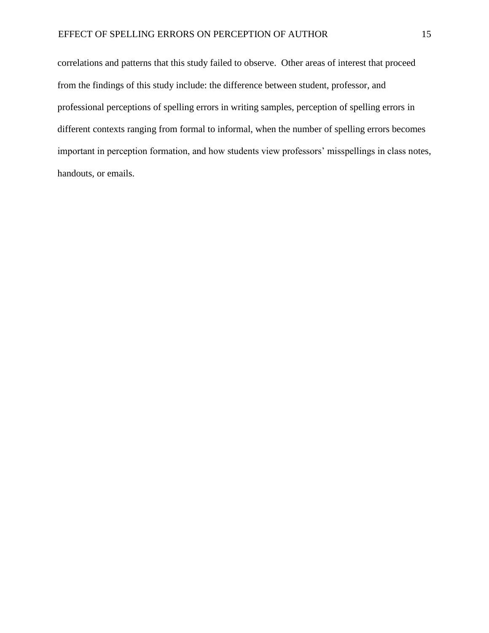correlations and patterns that this study failed to observe. Other areas of interest that proceed from the findings of this study include: the difference between student, professor, and professional perceptions of spelling errors in writing samples, perception of spelling errors in different contexts ranging from formal to informal, when the number of spelling errors becomes important in perception formation, and how students view professors' misspellings in class notes, handouts, or emails.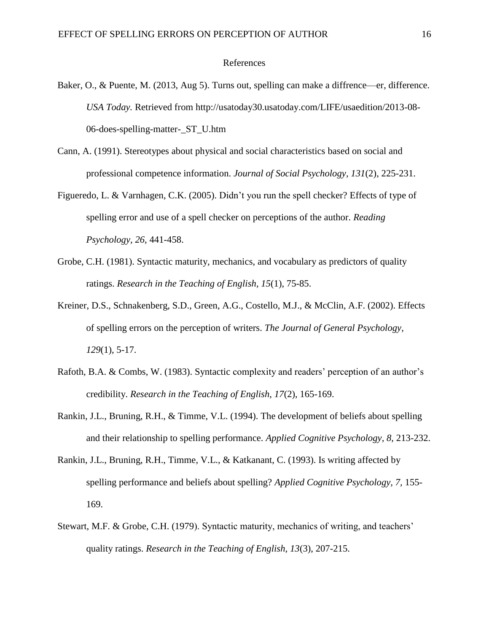#### References

- Baker, O., & Puente, M. (2013, Aug 5). Turns out, spelling can make a diffrence—er, difference. *USA Today.* Retrieved from http://usatoday30.usatoday.com/LIFE/usaedition/2013-08- 06-does-spelling-matter-\_ST\_U.htm
- Cann, A. (1991). Stereotypes about physical and social characteristics based on social and professional competence information. *Journal of Social Psychology, 131*(2), 225-231.
- Figueredo, L. & Varnhagen, C.K. (2005). Didn't you run the spell checker? Effects of type of spelling error and use of a spell checker on perceptions of the author. *Reading Psychology, 26*, 441-458.
- Grobe, C.H. (1981). Syntactic maturity, mechanics, and vocabulary as predictors of quality ratings. *Research in the Teaching of English, 15*(1), 75-85.
- Kreiner, D.S., Schnakenberg, S.D., Green, A.G., Costello, M.J., & McClin, A.F. (2002). Effects of spelling errors on the perception of writers. *The Journal of General Psychology, 129*(1), 5-17.
- Rafoth, B.A. & Combs, W. (1983). Syntactic complexity and readers' perception of an author's credibility. *Research in the Teaching of English, 17*(2), 165-169.
- Rankin, J.L., Bruning, R.H., & Timme, V.L. (1994). The development of beliefs about spelling and their relationship to spelling performance. *Applied Cognitive Psychology, 8,* 213-232.
- Rankin, J.L., Bruning, R.H., Timme, V.L., & Katkanant, C. (1993). Is writing affected by spelling performance and beliefs about spelling? *Applied Cognitive Psychology, 7,* 155- 169.
- Stewart, M.F. & Grobe, C.H. (1979). Syntactic maturity, mechanics of writing, and teachers' quality ratings. *Research in the Teaching of English, 13*(3), 207-215.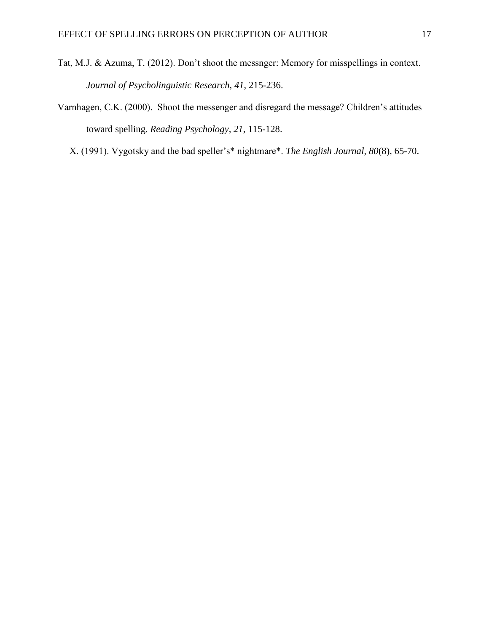- Tat, M.J. & Azuma, T. (2012). Don't shoot the messnger: Memory for misspellings in context. *Journal of Psycholinguistic Research, 41*, 215-236.
- Varnhagen, C.K. (2000). Shoot the messenger and disregard the message? Children's attitudes toward spelling. *Reading Psychology, 21*, 115-128.
	- X. (1991). Vygotsky and the bad speller's\* nightmare\*. *The English Journal, 80*(8), 65-70.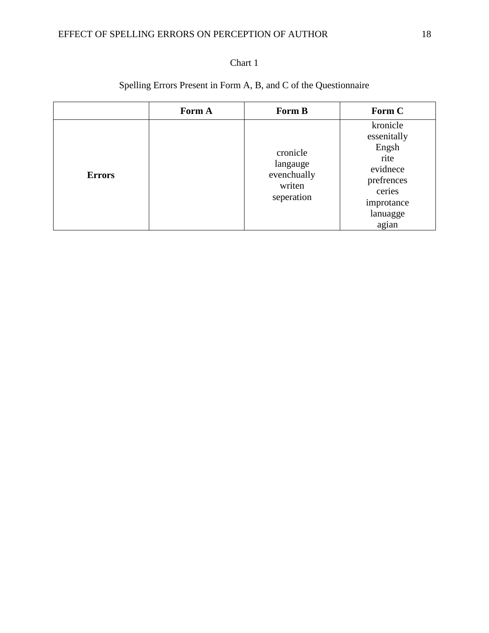### EFFECT OF SPELLING ERRORS ON PERCEPTION OF AUTHOR 18

### Chart 1

## Spelling Errors Present in Form A, B, and C of the Questionnaire

|               | Form A | Form B                                                      | Form C                                                                                                          |
|---------------|--------|-------------------------------------------------------------|-----------------------------------------------------------------------------------------------------------------|
| <b>Errors</b> |        | cronicle<br>langauge<br>evenchually<br>writen<br>seperation | kronicle<br>essenitally<br>Engsh<br>rite<br>evidnece<br>prefrences<br>ceries<br>improtance<br>lanuagge<br>agian |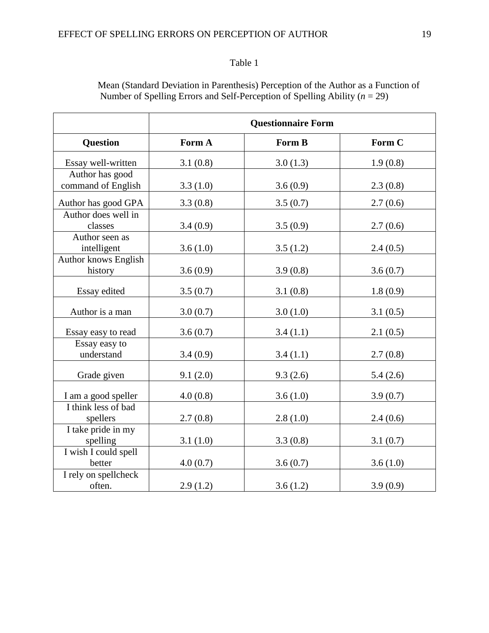|                                        | <b>Questionnaire Form</b> |          |          |  |  |  |
|----------------------------------------|---------------------------|----------|----------|--|--|--|
| <b>Question</b>                        | Form A                    | Form B   | Form C   |  |  |  |
| Essay well-written                     | 3.1(0.8)                  | 3.0(1.3) | 1.9(0.8) |  |  |  |
| Author has good<br>command of English  | 3.3(1.0)                  | 3.6(0.9) | 2.3(0.8) |  |  |  |
| Author has good GPA                    | 3.3(0.8)                  | 3.5(0.7) | 2.7(0.6) |  |  |  |
| Author does well in<br>classes         | 3.4(0.9)                  | 3.5(0.9) | 2.7(0.6) |  |  |  |
| Author seen as<br>intelligent          | 3.6(1.0)                  | 3.5(1.2) | 2.4(0.5) |  |  |  |
| <b>Author knows English</b><br>history | 3.6(0.9)                  | 3.9(0.8) | 3.6(0.7) |  |  |  |
| Essay edited                           | 3.5(0.7)                  | 3.1(0.8) | 1.8(0.9) |  |  |  |
| Author is a man                        | 3.0(0.7)                  | 3.0(1.0) | 3.1(0.5) |  |  |  |
| Essay easy to read                     | 3.6(0.7)                  | 3.4(1.1) | 2.1(0.5) |  |  |  |
| Essay easy to<br>understand            | 3.4(0.9)                  | 3.4(1.1) | 2.7(0.8) |  |  |  |
| Grade given                            | 9.1(2.0)                  | 9.3(2.6) | 5.4(2.6) |  |  |  |
| I am a good speller                    | 4.0(0.8)                  | 3.6(1.0) | 3.9(0.7) |  |  |  |
| I think less of bad<br>spellers        | 2.7(0.8)                  | 2.8(1.0) | 2.4(0.6) |  |  |  |
| I take pride in my<br>spelling         | 3.1(1.0)                  | 3.3(0.8) | 3.1(0.7) |  |  |  |
| I wish I could spell<br>better         | 4.0(0.7)                  | 3.6(0.7) | 3.6(1.0) |  |  |  |
| I rely on spellcheck<br>often.         | 2.9(1.2)                  | 3.6(1.2) | 3.9(0.9) |  |  |  |

Mean (Standard Deviation in Parenthesis) Perception of the Author as a Function of Number of Spelling Errors and Self-Perception of Spelling Ability (*n* = 29)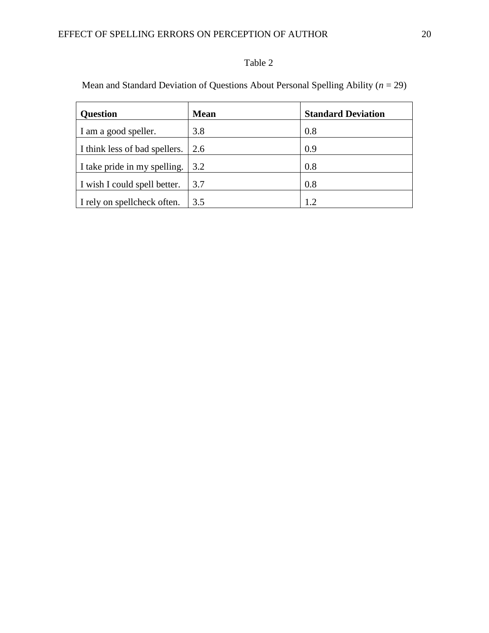Mean and Standard Deviation of Questions About Personal Spelling Ability (*n* = 29)

| <b>Question</b>               | <b>Mean</b> | <b>Standard Deviation</b> |
|-------------------------------|-------------|---------------------------|
| I am a good speller.          | 3.8         | 0.8                       |
| I think less of bad spellers. | 2.6         | 0.9                       |
| I take pride in my spelling.  | 3.2         | 0.8                       |
| I wish I could spell better.  | 3.7         | 0.8                       |
| I rely on spellcheck often.   | 3.5         | 1.2                       |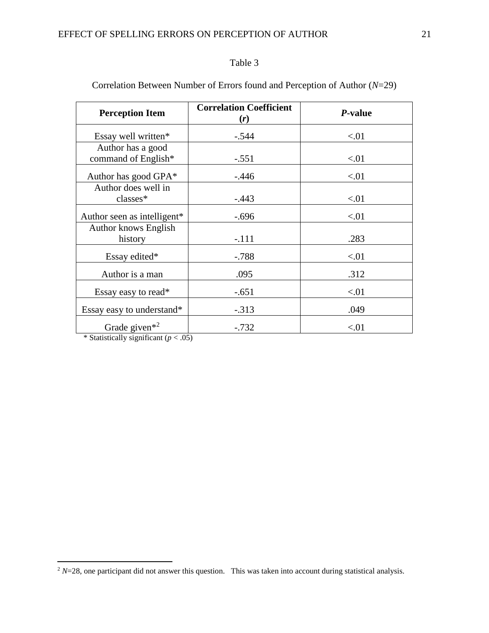| <b>Perception Item</b>                                                                           | <b>Correlation Coefficient</b><br>(r) | P-value |
|--------------------------------------------------------------------------------------------------|---------------------------------------|---------|
| Essay well written*                                                                              | $-.544$                               | < 01    |
| Author has a good<br>command of English*                                                         | $-.551$                               | < 01    |
| Author has good GPA*                                                                             | $-.446$                               | < 01    |
| Author does well in<br>classes*                                                                  | $-.443$                               | < 01    |
| Author seen as intelligent*                                                                      | $-.696$                               | < 01    |
| <b>Author knows English</b><br>history                                                           | $-.111$                               | .283    |
| Essay edited*                                                                                    | $-.788$                               | < 01    |
| Author is a man                                                                                  | .095                                  | .312    |
| Essay easy to read*                                                                              | $-.651$                               | < 01    |
| Essay easy to understand*                                                                        | $-.313$                               | .049    |
| Grade given <sup><math>*^2</math></sup><br>$\frac{1}{2}$ Ctatictically cignificant (n $\geq$ 05) | $-.732$                               | < 01    |

Correlation Between Number of Errors found and Perception of Author (*N*=29)

Statistically significant  $(p < .05)$ 

 $\overline{a}$ 

 $2$  *N*=28, one participant did not answer this question. This was taken into account during statistical analysis.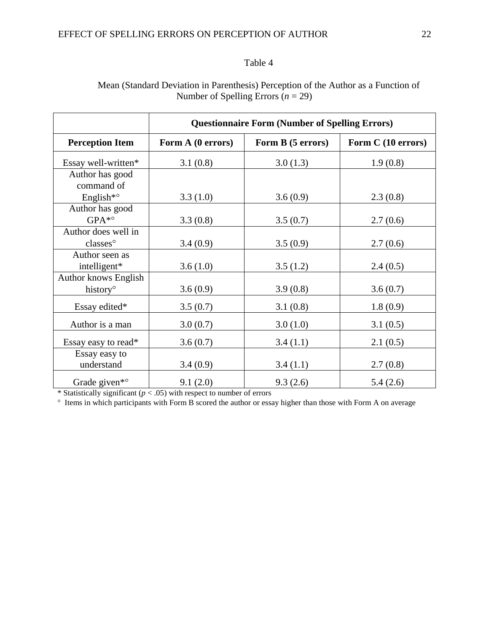### Mean (Standard Deviation in Parenthesis) Perception of the Author as a Function of Number of Spelling Errors (*n* = 29)

|                                | <b>Questionnaire Form (Number of Spelling Errors)</b> |                   |                    |  |  |
|--------------------------------|-------------------------------------------------------|-------------------|--------------------|--|--|
| <b>Perception Item</b>         | Form A (0 errors)                                     | Form B (5 errors) | Form C (10 errors) |  |  |
| Essay well-written*            | 3.1(0.8)                                              | 3.0(1.3)          | 1.9(0.8)           |  |  |
| Author has good<br>command of  |                                                       |                   |                    |  |  |
| English <sup>*</sup> °         | 3.3(1.0)                                              | 3.6(0.9)          | 2.3(0.8)           |  |  |
| Author has good                |                                                       |                   |                    |  |  |
| $GPA^*$ °                      | 3.3(0.8)                                              | 3.5(0.7)          | 2.7(0.6)           |  |  |
| Author does well in            |                                                       |                   |                    |  |  |
| classes°                       | 3.4(0.9)                                              | 3.5(0.9)          | 2.7(0.6)           |  |  |
| Author seen as<br>intelligent* | 3.6(1.0)                                              | 3.5(1.2)          | 2.4(0.5)           |  |  |
| <b>Author knows English</b>    |                                                       |                   |                    |  |  |
| history <sup>o</sup>           | 3.6(0.9)                                              | 3.9(0.8)          | 3.6(0.7)           |  |  |
| Essay edited*                  | 3.5(0.7)                                              | 3.1(0.8)          | 1.8(0.9)           |  |  |
| Author is a man                | 3.0(0.7)                                              | 3.0(1.0)          | 3.1(0.5)           |  |  |
| Essay easy to read*            | 3.6(0.7)                                              | 3.4(1.1)          | 2.1(0.5)           |  |  |
| Essay easy to<br>understand    | 3.4(0.9)                                              | 3.4(1.1)          | 2.7(0.8)           |  |  |
| Grade given <sup>*</sup> °     | 9.1(2.0)                                              | 9.3(2.6)          | 5.4(2.6)           |  |  |

\* Statistically significant ( $p < .05$ ) with respect to number of errors

<sup>o</sup> Items in which participants with Form B scored the author or essay higher than those with Form A on average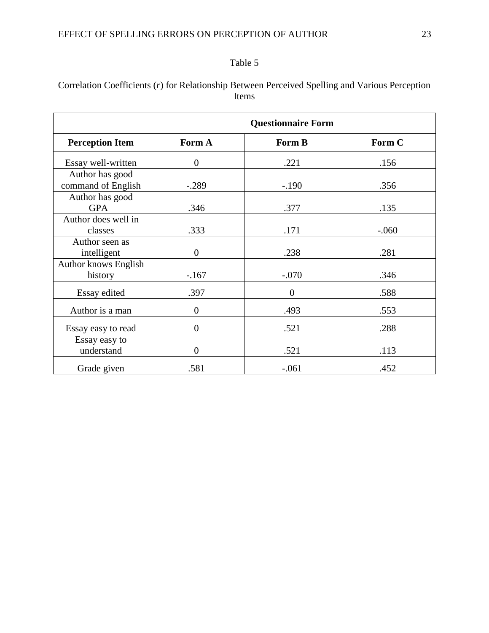### Correlation Coefficients (*r*) for Relationship Between Perceived Spelling and Various Perception Items

|                                        |                | <b>Questionnaire Form</b> |         |
|----------------------------------------|----------------|---------------------------|---------|
| <b>Perception Item</b>                 | Form A         | Form B                    | Form C  |
| Essay well-written                     | $\overline{0}$ | .221                      | .156    |
| Author has good<br>command of English  | $-.289$        | $-.190$                   | .356    |
| Author has good<br><b>GPA</b>          | .346           | .377                      | .135    |
| Author does well in<br>classes         | .333           | .171                      | $-.060$ |
| Author seen as<br>intelligent          | $\overline{0}$ | .238                      | .281    |
| <b>Author knows English</b><br>history | $-167$         | $-.070$                   | .346    |
| Essay edited                           | .397           | $\overline{0}$            | .588    |
| Author is a man                        | $\overline{0}$ | .493                      | .553    |
| Essay easy to read                     | $\overline{0}$ | .521                      | .288    |
| Essay easy to<br>understand            | $\overline{0}$ | .521                      | .113    |
| Grade given                            | .581           | $-.061$                   | .452    |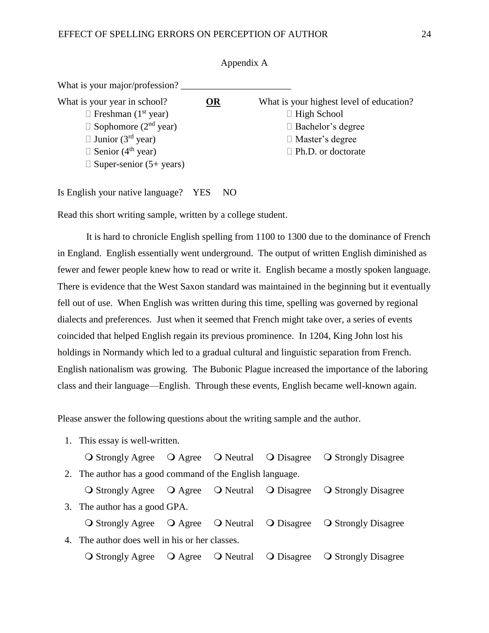| What is your major/profession?          |    |                                          |
|-----------------------------------------|----|------------------------------------------|
| What is your year in school?            | OR | What is your highest level of education? |
| $\Box$ Freshman (1 <sup>st</sup> year)  |    | $\Box$ High School                       |
| $\Box$ Sophomore (2 <sup>nd</sup> year) |    | $\Box$ Bachelor's degree                 |
| $\Box$ Junior (3 <sup>rd</sup> year)    |    | $\Box$ Master's degree                   |
| $\Box$ Senior (4 <sup>th</sup> year)    |    | $\Box$ Ph.D. or doctorate                |
| $\Box$ Super-senior (5+ years)          |    |                                          |

Appendix A

Is English your native language? YES NO

Read this short writing sample, written by a college student.

It is hard to chronicle English spelling from 1100 to 1300 due to the dominance of French in England. English essentially went underground. The output of written English diminished as fewer and fewer people knew how to read or write it. English became a mostly spoken language. There is evidence that the West Saxon standard was maintained in the beginning but it eventually fell out of use. When English was written during this time, spelling was governed by regional dialects and preferences. Just when it seemed that French might take over, a series of events coincided that helped English regain its previous prominence. In 1204, King John lost his holdings in Normandy which led to a gradual cultural and linguistic separation from French. English nationalism was growing. The Bubonic Plague increased the importance of the laboring class and their language—English. Through these events, English became well-known again.

Please answer the following questions about the writing sample and the author.

1. This essay is well-written.

|                                                           |  | O Strongly Agree O Agree O Neutral O Disagree O Strongly Disagree                                              |
|-----------------------------------------------------------|--|----------------------------------------------------------------------------------------------------------------|
| 2. The author has a good command of the English language. |  |                                                                                                                |
|                                                           |  | O Strongly Agree O Agree O Neutral O Disagree O Strongly Disagree                                              |
| 3. The author has a good GPA.                             |  |                                                                                                                |
|                                                           |  | O Strongly Agree O Agree O Neutral O Disagree O Strongly Disagree                                              |
| 4. The author does well in his or her classes.            |  |                                                                                                                |
|                                                           |  | $\bigcirc$ Strongly Agree $\bigcirc$ Agree $\bigcirc$ Neutral $\bigcirc$ Disagree $\bigcirc$ Strongly Disagree |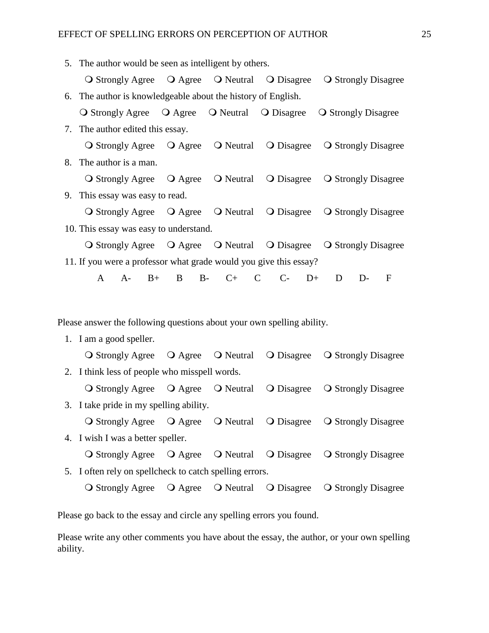|    | 5. The author would be seen as intelligent by others.                  |           |                   |            |                                                                   |
|----|------------------------------------------------------------------------|-----------|-------------------|------------|-------------------------------------------------------------------|
|    |                                                                        |           |                   |            | O Strongly Agree O Agree O Neutral O Disagree O Strongly Disagree |
| 6. | The author is knowledgeable about the history of English.              |           |                   |            |                                                                   |
|    |                                                                        |           |                   |            | O Strongly Agree O Agree O Neutral O Disagree O Strongly Disagree |
|    | 7. The author edited this essay.                                       |           |                   |            |                                                                   |
|    |                                                                        |           |                   |            | O Strongly Agree O Agree O Neutral O Disagree O Strongly Disagree |
|    | 8. The author is a man.                                                |           |                   |            |                                                                   |
|    |                                                                        |           |                   |            | O Strongly Agree O Agree O Neutral O Disagree O Strongly Disagree |
|    | 9. This essay was easy to read.                                        |           |                   |            |                                                                   |
|    |                                                                        |           |                   |            | O Strongly Agree O Agree O Neutral O Disagree O Strongly Disagree |
|    | 10. This essay was easy to understand.                                 |           |                   |            |                                                                   |
|    |                                                                        |           |                   |            | O Strongly Agree O Agree O Neutral O Disagree O Strongly Disagree |
|    | 11. If you were a professor what grade would you give this essay?      |           |                   |            |                                                                   |
|    | $\mathbf{A}$<br>$A-$<br>$B+$                                           | $B$ $B$ - | $C+$ $C$          | $C$ - D+   | D<br>$D-$<br>$\mathbf{F}$                                         |
|    |                                                                        |           |                   |            |                                                                   |
|    |                                                                        |           |                   |            |                                                                   |
|    | Please answer the following questions about your own spelling ability. |           |                   |            |                                                                   |
|    | 1. I am a good speller.                                                |           |                   |            |                                                                   |
|    |                                                                        |           |                   |            | O Strongly Agree O Agree O Neutral O Disagree O Strongly Disagree |
|    | 2. I think less of people who misspell words.                          |           |                   |            |                                                                   |
|    | O Strongly Agree O Agree O Neutral O Disagree                          |           |                   |            | <b>O</b> Strongly Disagree                                        |
|    | 3. I take pride in my spelling ability.                                |           |                   |            |                                                                   |
|    | <b>O</b> Strongly Agree                                                |           | O Agree O Neutral | O Disagree | <b>O</b> Strongly Disagree                                        |

- 4. I wish I was a better speller.
- O Strongly Agree O Agree O Neutral O Disagree O Strongly Disagree 5. I often rely on spellcheck to catch spelling errors. O Strongly Agree Q Agree Q Neutral Q Disagree Q Strongly Disagree

Please go back to the essay and circle any spelling errors you found.

Please write any other comments you have about the essay, the author, or your own spelling ability.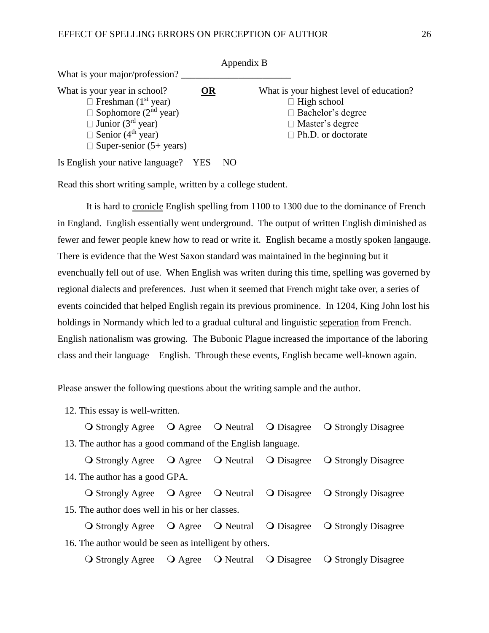|                                         |           | Appendix B                               |
|-----------------------------------------|-----------|------------------------------------------|
| What is your major/profession?          |           |                                          |
| What is your year in school?            | <b>OR</b> | What is your highest level of education? |
| $\Box$ Freshman (1 <sup>st</sup> year)  |           | $\Box$ High school                       |
| $\Box$ Sophomore (2 <sup>nd</sup> year) |           | $\Box$ Bachelor's degree                 |
| $\Box$ Junior (3 <sup>rd</sup> year)    |           | $\Box$ Master's degree                   |
| $\Box$ Senior (4 <sup>th</sup> year)    |           | $\Box$ Ph.D. or doctorate                |
| $\Box$ Super-senior (5+ years)          |           |                                          |

Is English your native language? YES NO

Read this short writing sample, written by a college student.

It is hard to cronicle English spelling from 1100 to 1300 due to the dominance of French in England. English essentially went underground. The output of written English diminished as fewer and fewer people knew how to read or write it. English became a mostly spoken langauge. There is evidence that the West Saxon standard was maintained in the beginning but it evenchually fell out of use. When English was writen during this time, spelling was governed by regional dialects and preferences. Just when it seemed that French might take over, a series of events coincided that helped English regain its previous prominence. In 1204, King John lost his holdings in Normandy which led to a gradual cultural and linguistic seperation from French. English nationalism was growing. The Bubonic Plague increased the importance of the laboring class and their language—English. Through these events, English became well-known again.

Please answer the following questions about the writing sample and the author.

12. This essay is well-written.

O Strongly Agree Q Agree Q Neutral Q Disagree Q Strongly Disagree 13. The author has a good command of the English language.

O Strongly Agree Q Agree Q Neutral Q Disagree Q Strongly Disagree 14. The author has a good GPA. O Strongly Agree Q Agree Q Neutral Q Disagree Q Strongly Disagree

15. The author does well in his or her classes.

O Strongly Agree Q Agree Q Neutral Q Disagree Q Strongly Disagree 16. The author would be seen as intelligent by others.

O Strongly Agree Q Agree Q Neutral Q Disagree Q Strongly Disagree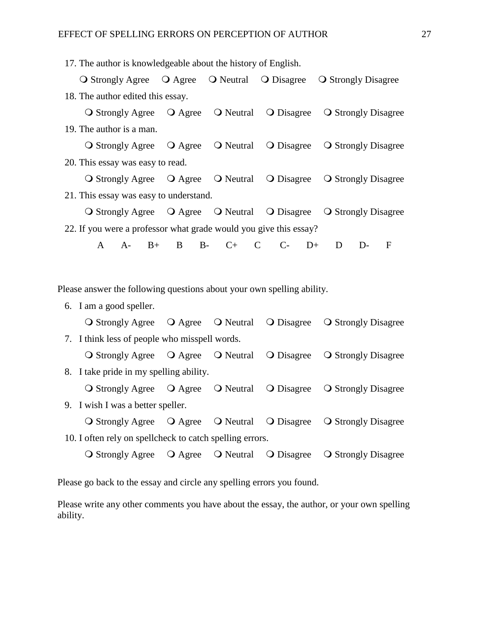17. The author is knowledgeable about the history of English.

|   |                                   |                                               |                                                          |                                                                        | O Strongly Agree O Agree O Neutral O Disagree O Strongly Disagree |  |
|---|-----------------------------------|-----------------------------------------------|----------------------------------------------------------|------------------------------------------------------------------------|-------------------------------------------------------------------|--|
|   | 18. The author edited this essay. |                                               |                                                          |                                                                        |                                                                   |  |
|   | <b>O</b> Strongly Agree           |                                               | $\overline{Q}$ Agree $\overline{Q}$ Neutral              | O Disagree                                                             | <b>Q</b> Strongly Disagree                                        |  |
|   | 19. The author is a man.          |                                               |                                                          |                                                                        |                                                                   |  |
|   |                                   |                                               | O Strongly Agree O Agree O Neutral                       | O Disagree                                                             | <b>O</b> Strongly Disagree                                        |  |
|   | 20. This essay was easy to read.  |                                               |                                                          |                                                                        |                                                                   |  |
|   |                                   |                                               |                                                          | O Strongly Agree O Agree O Neutral O Disagree                          | <b>O</b> Strongly Disagree                                        |  |
|   |                                   | 21. This essay was easy to understand.        |                                                          |                                                                        |                                                                   |  |
|   |                                   |                                               |                                                          |                                                                        | O Strongly Agree O Agree O Neutral O Disagree O Strongly Disagree |  |
|   |                                   |                                               |                                                          | 22. If you were a professor what grade would you give this essay?      |                                                                   |  |
| A | $A-$<br>$B+$                      | B                                             | $B-$<br>$C+$ $C$                                         | $C$ -<br>$D+$                                                          | D<br>$\mathbf{F}$<br>$D-$                                         |  |
|   |                                   |                                               |                                                          |                                                                        |                                                                   |  |
|   |                                   |                                               |                                                          |                                                                        |                                                                   |  |
|   |                                   |                                               |                                                          | Please answer the following questions about your own spelling ability. |                                                                   |  |
|   | 6. I am a good speller.           |                                               |                                                          |                                                                        |                                                                   |  |
|   |                                   |                                               |                                                          | O Strongly Agree O Agree O Neutral O Disagree                          | <b>O</b> Strongly Disagree                                        |  |
|   |                                   | 7. I think less of people who misspell words. |                                                          |                                                                        |                                                                   |  |
|   |                                   |                                               |                                                          | O Strongly Agree O Agree O Neutral O Disagree                          | <b>O</b> Strongly Disagree                                        |  |
|   |                                   | 8. I take pride in my spelling ability.       |                                                          |                                                                        |                                                                   |  |
|   |                                   |                                               |                                                          | O Strongly Agree O Agree O Neutral O Disagree                          | <b>O</b> Strongly Disagree                                        |  |
|   | 9. I wish I was a better speller. |                                               |                                                          |                                                                        |                                                                   |  |
|   |                                   |                                               |                                                          |                                                                        | O Strongly Agree O Agree O Neutral O Disagree O Strongly Disagree |  |
|   |                                   |                                               | 10. I often rely on spellcheck to catch spelling errors. |                                                                        |                                                                   |  |
|   |                                   |                                               |                                                          | O Strongly Agree O Agree O Neutral O Disagree                          | <b>O</b> Strongly Disagree                                        |  |

Please go back to the essay and circle any spelling errors you found.

Please write any other comments you have about the essay, the author, or your own spelling ability.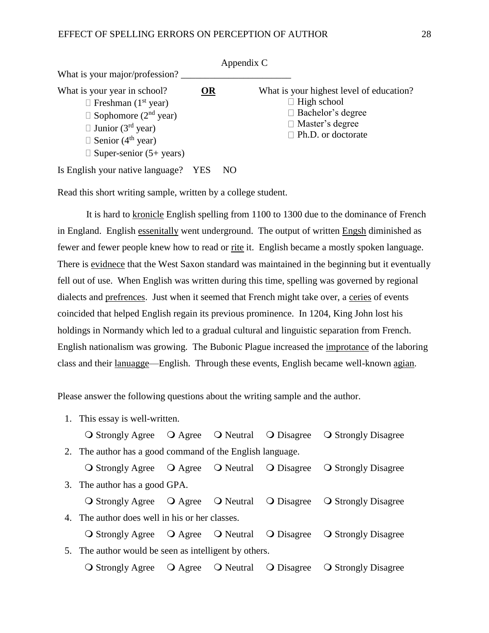|                                                                                                                                                                                                                                     |           | Appendix C |                                                                                                                                                   |
|-------------------------------------------------------------------------------------------------------------------------------------------------------------------------------------------------------------------------------------|-----------|------------|---------------------------------------------------------------------------------------------------------------------------------------------------|
| What is your major/profession?                                                                                                                                                                                                      |           |            |                                                                                                                                                   |
| What is your year in school?<br>$\Box$ Freshman (1 <sup>st</sup> year)<br>$\Box$ Sophomore (2 <sup>nd</sup> year)<br>$\Box$ Junior (3 <sup>rd</sup> year)<br>$\Box$ Senior (4 <sup>th</sup> year)<br>$\Box$ Super-senior (5+ years) | <b>OR</b> |            | What is your highest level of education?<br>$\Box$ High school<br>$\Box$ Bachelor's degree<br>$\Box$ Master's degree<br>$\Box$ Ph.D. or doctorate |
| Is English your native language?                                                                                                                                                                                                    | YES       | NO         |                                                                                                                                                   |

Read this short writing sample, written by a college student.

It is hard to kronicle English spelling from 1100 to 1300 due to the dominance of French in England. English essenitally went underground. The output of written Engsh diminished as fewer and fewer people knew how to read or rite it. English became a mostly spoken language. There is evidnece that the West Saxon standard was maintained in the beginning but it eventually fell out of use. When English was written during this time, spelling was governed by regional dialects and prefrences. Just when it seemed that French might take over, a ceries of events coincided that helped English regain its previous prominence. In 1204, King John lost his holdings in Normandy which led to a gradual cultural and linguistic separation from French. English nationalism was growing. The Bubonic Plague increased the improtance of the laboring class and their lanuagge—English. Through these events, English became well-known agian.

Please answer the following questions about the writing sample and the author.

1. This essay is well-written. O Strongly Agree Q Agree Q Neutral Q Disagree Q Strongly Disagree 2. The author has a good command of the English language. O Strongly Agree Q Agree Q Neutral Q Disagree Q Strongly Disagree 3. The author has a good GPA. O Strongly Agree Q Agree Q Neutral Q Disagree Q Strongly Disagree 4. The author does well in his or her classes. O Strongly Agree O Agree O Neutral O Disagree O Strongly Disagree 5. The author would be seen as intelligent by others. O Strongly Agree Q Agree Q Neutral Q Disagree Q Strongly Disagree